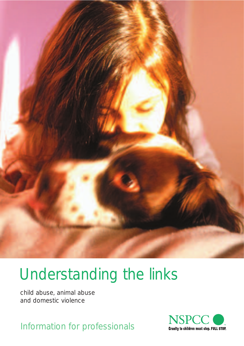

# Understanding the links

child abuse, animal abuse and domestic violence

*Information for professionals*

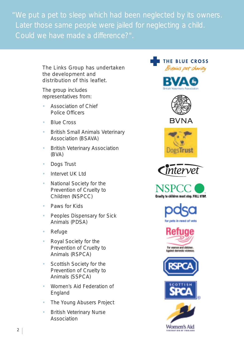"We put a pet to sleep which had been neglected by its owners. Later those same people were jailed for neglecting a child. Could we have made a difference?".

> The Links Group has undertaken the development and distribution of this leaflet.

The group includes representatives from:

- Association of Chief Police Officers
- Blue Cross
- British Small Animals Veterinary Association (BSAVA)
- British Veterinary Association (BVA)
- Dogs Trust
- Intervet UK Ltd
- National Society for the Prevention of Cruelty to Children (NSPCC)
- Paws for Kids
- Peoples Dispensary for Sick Animals (PDSA)
- Refuge
- Royal Society for the Prevention of Cruelty to Animals (RSPCA)
- Scottish Society for the Prevention of Cruelty to Animals (SSPCA)
- Women's Aid Federation of England
- The Young Abusers Project
- British Veterinary Nurse Association







**BVNA** 











For warner and children.<br>Against damestic violence.





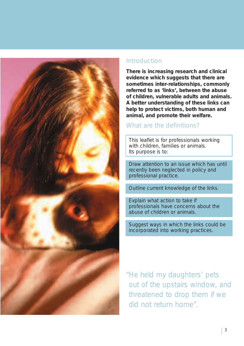

# Introduction

**There is increasing research and clinical evidence which suggests that there are sometimes inter-relationships, commonly referred to as 'links', between the abuse of children, vulnerable adults and animals. A better understanding of these links can help to protect victims, both human and animal, and promote their welfare.**

# What are the definitions?

This leaflet is for professionals working with children, families or animals. Its purpose is to:

Draw attention to an issue which has until recently been neglected in policy and professional practice.

Outline current knowledge of the links.

Explain what action to take if professionals have concerns about the abuse of children or animals.

Suggest ways in which the links could be incorporated into working practices.

"He held my daughters' pets out of the upstairs window, and threatened to drop them if we did not return home".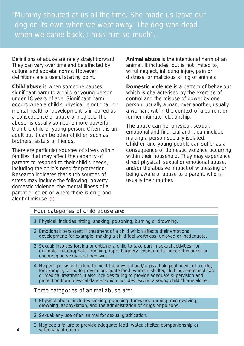"Mummy shouted at us all the time. She made us leave our dog on its own when we went away. The dog was dead when we came back. I miss him so much".

Definitions of abuse are rarely straightforward. They can vary over time and be affected by cultural and societal norms. However, definitions are a useful starting point.

**Child abuse** is when someone causes significant harm to a child or young person under 18 years of age. Significant harm occurs when a child's physical, emotional, or mental health or development is impaired as a consequence of abuse or neglect. The abuser is usually someone more powerful than the child or young person. Often it is an adult but it can be other children such as brothers, sisters or friends.

There are particular sources of stress within families that may affect the capacity of parents to respond to their child's needs, including the child's need for protection. Research indicates that such sources of stress may include the following: poverty, domestic violence, the mental illness of a parent or carer, or where there is drug and alcohol misuse. (1)

**Animal abuse** is the intentional harm of an animal. It includes, but is not limited to, wilful neglect, inflicting injury, pain or distress, or malicious killing of animals.

**Domestic violence** is a pattern of behaviour which is characterised by the exercise of control and the misuse of power by one person, usually a man, over another, usually a woman, within the context of a current or former intimate relationship.

The abuse can be: physical, sexual, emotional and financial and it can include making a person socially isolated. Children and young people can suffer as a consequence of domestic violence occurring within their household. They may experience direct physical, sexual or emotional abuse, and/or the abusive impact of witnessing or being aware of abuse to a parent, who is usually their mother.

| Four categories of child abuse are:                                                                                                                                                                                                                                                                                                                               |
|-------------------------------------------------------------------------------------------------------------------------------------------------------------------------------------------------------------------------------------------------------------------------------------------------------------------------------------------------------------------|
| 1 Physical: includes hitting, shaking, poisoning, burning or drowning.                                                                                                                                                                                                                                                                                            |
| 2 Emotional: persistent ill treatment of a child which affects their emotional<br>development; for example, making a child feel worthless, unloved or inadequate.                                                                                                                                                                                                 |
| 3 Sexual: involves forcing or enticing a child to take part in sexual activities; for<br>example, inappropriate touching, rape, buggery, exposure to indecent images, or<br>encouraging sexualised behaviour.                                                                                                                                                     |
| 4 Neglect: persistent failure to meet the physical and/or psychological needs of a child;<br>for example, failing to provide adequate food, warmth, shelter, clothing, emotional care<br>or medical treatment. It also includes failing to provide adequate supervision and<br>protection from physical danger which includes leaving a young child "home alone". |
| Three categories of animal abuse are:                                                                                                                                                                                                                                                                                                                             |
| 1 Physical abuse: includes kicking, punching, throwing, burning, microwaving,<br>drowning, asphyxiation, and the administration of drugs or poisons.                                                                                                                                                                                                              |
| 2 Sexual: any use of an animal for sexual gratification.                                                                                                                                                                                                                                                                                                          |
| 2 Neglectus foilum to provide adequate food water shelter componionable or                                                                                                                                                                                                                                                                                        |

Neglect: a failure to provide adequate food, veterinary attention.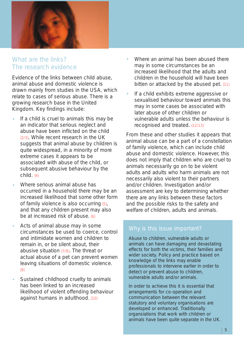

## What are the links? The research evidence

Evidence of the links between child abuse, animal abuse and domestic violence is drawn mainly from studies in the USA, which relate to cases of serious abuse. There is a growing research base in the United Kingdom. Key findings include:

- If a child is cruel to animals this may be an indicator that serious neglect and abuse have been inflicted on the child (2/3). While recent research in the UK suggests that animal abuse by children is quite widespread, in a minority of more extreme cases it appears to be associated with abuse of the child, or subsequent abusive behaviour by the child. (4)
- Where serious animal abuse has occurred in a household there may be an increased likelihood that some other form of family violence is also occurring (5), and that any children present may also be at increased risk of abuse. (6)
- Acts of animal abuse may in some circumstances be used to coerce, control and intimidate women and children to remain in, or be silent about, their abusive situation (7/8). The threat or actual abuse of a pet can prevent women leaving situations of domestic violence. (9)
- Sustained childhood cruelty to animals has been linked to an increased likelihood of violent offending behaviour against humans in adulthood. (10)
- Where an animal has been abused there may in some circumstances be an increased likelihood that the adults and children in the household will have been bitten or attacked by the abused pet. (11)
- If a child exhibits extreme aggressive or sexualised behaviour toward animals this may in some cases be associated with later abuse of other children or vulnerable adults unless the behaviour is recognised and treated. (12/13)

From these and other studies it appears that animal abuse can be a part of a constellation of family violence, which can include child abuse and domestic violence. However, this does not imply that children who are cruel to animals necessarily go on to be violent adults and adults who harm animals are not necessarily also violent to their partners and/or children. Investigation and/or assessment are key to determining whether there are any links between these factors and the possible risks to the safety and welfare of children, adults and animals.

### Why is this issue important?

Abuse to children, vulnerable adults or animals can have damaging and devastating effects for both the victims, their families and wider society. Policy and practice based on knowledge of the links may enable professionals to intervene earlier in order to detect or prevent abuse to children. vulnerable adults and/or animals.

In order to achieve this it is essential that arrangements for co-operation and communication between the relevant statutory and voluntary organisations are developed or enhanced. Traditionally organsiations that work with children or animals have been quite separate in the UK.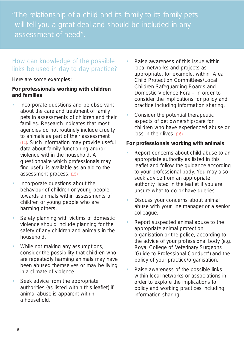will tell you a great deal and should be included in any assessment of need".

# How can knowledge of the possible links be used in day to day practice?

Here are some examples:

#### **For professionals working with children and families**

- Incorporate questions and be observant about the care and treatment of family pets in assessments of children and their families. Research indicates that most agencies do not routinely include cruelty to animals as part of their assessment (14). Such information may provide useful data about family functioning and/or violence within the household. A questionnaire which professionals may find useful is available as an aid to the assessment process. (15)
- Incorporate questions about the behaviour of children or young people towards animals within assessments of children or young people who are harming others.
- Safety planning with victims of domestic violence should include planning for the safety of any children and animals in the household.
- While not making any assumptions, consider the possibility that children who are repeatedly harming animals may have been abused themselves or may be living in a climate of violence.
- Seek advice from the appropriate authorities (as listed within this leaflet) if animal abuse is apparent within a household.
- Raise awareness of this issue within local networks and projects as appropriate, for example, within Area Child Protection Committees/Local Children Safeguarding Boards and Domestic Violence Fora – in order to consider the implications for policy and practice including information sharing.
- Consider the potential therapeutic aspects of pet ownership/care for children who have experienced abuse or loss in their lives. (16)

#### **For professionals working with animals**

- Report concerns about child abuse to an appropriate authority as listed in this leaflet and follow the guidance according to your professional body. You may also seek advice from an appropriate authority listed in the leaflet if you are unsure what to do or have queries.
- Discuss your concerns about animal abuse with your line manager or a senior colleague.
- Report suspected animal abuse to the appropriate animal protection organisation or the police, according to the advice of your professional body (e.g. Royal College of Veterinary Surgeons 'Guide to Professional Conduct') and the policy of your practice/organisation.
- Raise awareness of the possible links within local networks or associations in order to explore the implications for policy and working practices including information sharing.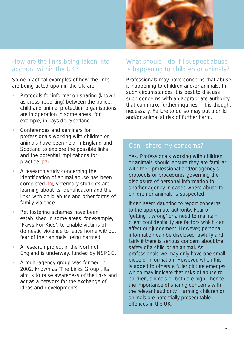

# How are the links being taken into account within the UK?

Some practical examples of how the links are being acted upon in the UK are:

- Protocols for information sharing (known as cross-reporting) between the police, child and animal protection organisations are in operation in some areas; for example, in Tayside, Scotland.
- Conferences and seminars for professionals working with children or animals have been held in England and Scotland to explore the possible links and the potential implications for practice. (17)
- A research study concerning the identification of animal abuse has been completed (18); veterinary students are learning about its identification and the links with child abuse and other forms of family violence.
- Pet fostering schemes have been established in some areas, for example, 'Paws For Kids', to enable victims of domestic violence to leave home without fear of their animals being harmed.
- A research project in the North of England is underway, funded by NSPCC.
- A multi-agency group was formed in 2002, known as 'The Links Group'. Its aim is to raise awareness of the links and act as a network for the exchange of ideas and developments.

# What should I do if I suspect abuse is happening to children or animals?

Professionals may have concerns that abuse is happening to children and/or animals. In such circumstances it is best to discuss such concerns with an appropriate authority that can make further inquiries if it is thought necessary. Failure to do so may put a child and/or animal at risk of further harm.

# Can I share my concerns?

Yes. Professionals working with children or animals should ensure they are familiar with their professional and/or agency's protocols or procedures governing the disclosure of personal information to another agency in cases where abuse to children or animals is suspected.

It can seem daunting to report concerns to the appropriate authority. Fear of 'getting it wrong' or a need to maintain client confidentiality are factors which can affect our judgement. However, personal information can be disclosed lawfully and fairly if there is serious concern about the safety of a child or an animal. As professionals we may only have one small piece of information. However, when this is added to others a fuller picture emerges which may indicate that risks of abuse to children, animals or both are high - hence the importance of sharing concerns with the relevant authority. Harming children or animals are potentially prosecutable offences in the UK.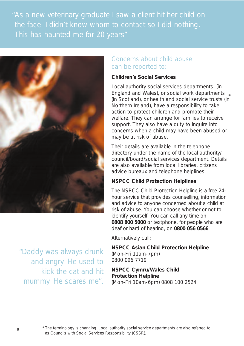the face. I didn't know whom to contact so I did nothing.



"Daddy was always drunk and angry. He used to kick the cat and hit mummy. He scares me".

## Concerns about child abuse can be reported to:

#### **Children's Social Services**

Local authority social services departments (in England and Wales), or social work departments Lingiand and wales), or social work departments  $*$ <br>(in Scotland), or health and social service trusts (in Northern Ireland), have a responsibility to take action to protect children and promote their welfare. They can arrange for families to receive support. They also have a duty to inquire into concerns when a child may have been abused or may be at risk of abuse.

Their details are available in the telephone directory under the name of the local authority/ council/board/social services department. Details are also available from local libraries, citizens advice bureaux and telephone helplines.

#### **NSPCC Child Protection Helplines**

The NSPCC Child Protection Helpline is a free 24 hour service that provides counselling, information and advice to anyone concerned about a child at risk of abuse. You can choose whether or not to identify yourself. You can call any time on **0808 800 5000** or textphone, for people who are deaf or hard of hearing, on **0800 056 0566**.

Alternatively call:

**NSPCC Asian Child Protection Helpline**  (Mon-Fri 11am-7pm) 0800 096 7719

#### **NSPCC Cymru/Wales Child Protection Helpline**  (Mon-Fri 10am-6pm) 0808 100 2524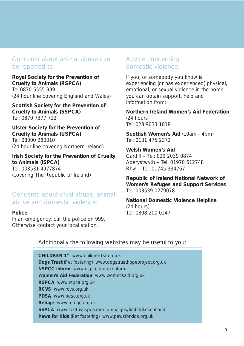## Concerns about animal abuse can be reported to:

**Royal Society for the Prevention of Cruelty to Animals (RSPCA)**  Tel 0870 5555 999

(24 hour line covering England and Wales)

**Scottish Society for the Prevention of Cruelty to Animals (SSPCA)**  Tel: 0870 7377 722

**Ulster Society for the Prevention of Cruelty to Animals (USPCA)** Tel: 08000 280010 (24 hour line covering Northern Ireland)

**Irish Society for the Prevention of Cruelty to Animals (ISPCA)**  Tel: 003531 4977874 (covering The Republic of Ireland)

## Concerns about child abuse, animal abuse and domestic violence:

#### **Police**

In an emergency, call the police on 999. Otherwise contact your local station.

## Advice concerning domestic violence:

If you, or somebody you know is experiencing (or has experienced) physical, emotional, or sexual violence in the home you can obtain support, help and information from:

**Northern Ireland Women's Aid Federation**  (24 hours) Tel: 028 9033 1818

**Scottish Women's Aid** (10am - 4pm) Tel: 0131 475 2372

**Welsh Women's Aid**  Cardiff – Tel: 029 2039 0874 Aberystwyth – Tel: 01970 612748 Rhyl – Tel: 01745 334767

**Republic of Ireland National Network of Women's Refuges and Support Services**  Tel: 003539 0279078

**National Domestic Violence Helpline**  (24 hours) Tel: 0808 200 0247

Additionally the following websites may be useful to you:

**CHILDREN 1ST** www.children1st.org.uk **Dogs Trust** (Pet fostering) www.dogstrusthopeproject.org.uk **NSPCC inform** www.nspcc.org.uk/inform **Women's Aid Federation** www.womensaid.org.uk **RSPCA** www.rspca.org.uk **RCVS** www.rcvs.org.uk **PDSA** www.pdsa.org.uk **Refuge** www.refuge.org.uk **SSPCA** www.scottishspca.org/campaigns/firststrikescotland **Paws for Kids** (Pet fostering) www.pawsforkids.org.uk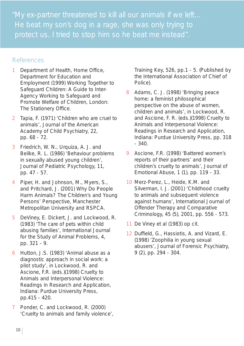"My ex-partner threatened to kill all our animals if we left… He beat my son's dog in a rage, she was only trying to

## References

- 1 Department of Health, Home Office, Department for Education and Employment (1999) Working Together to Safeguard Children: A Guide to Inter-Agency Working to Safeguard and Promote Welfare of Children, London: The Stationery Office.
- 2 Tapia, F. (1971) 'Children who are cruel to animals', Journal of the American Academy of Child Psychiatry, 22, pp. 68 - 72.
- 3 Friedrich, W. N., Urquiza, A. J. and Beilke, R. L. (1986) 'Behaviour problems in sexually abused young children', Journal of Pediatric Psychology, 11, pp. 47 - 57.
- 4 Piper, H. and Johnson, M., Myers, S., and Pritchard, J. (2001) Why Do People Harm Animals? The Children's and Young Persons' Perspective, Manchester Metropolitan University and RSPCA.
- 5 DeViney, E. Dickert, J. and Lockwood, R. (1983) 'The care of pets within child abusing families', International Journal for the Study of Animal Problems, 4, pp. 321 - 9.
- 6 Hutton, J.S. (1983) 'Animal abuse as a diagnostic approach in social work: a pilot study', in Lockwood, R. and Ascione, F.R. (eds.)(1998) Cruelty to Animals and Interpersonal Violence: Readings in Research and Application, Indiana: Purdue University Press, pp.415 - 420.
- 7 Ponder, C. and Lockwood, R. (2000) 'Cruelty to animals and family violence',

Training Key, 526, pp.1 - 5. (Published by the International Association of Chief of Police).

- 8 Adams, C. J. (1998) 'Bringing peace home: a feminist philosophical perspective on the abuse of women, children and animals', in Lockwood, R. and Ascione, F. R. (eds.)(1998) Cruelty to Animals and Interpersonal Violence: Readings in Research and Application, Indiana: Purdue University Press, pp. 318 - 340.
- 9 Ascione, F.R. (1998) 'Battered women's reports of their partners' and their children's cruelty to animals', Journal of Emotional Abuse, 1 (1), pp. 119 - 33.
- 10 Merz-Perez, L., Heide, K.M. and Silverman, I. J. (2001) 'Childhood cruelty to animals and subsequent violence against humans', International Journal of Offender Therapy and Comparative Criminology, 45 (5), 2001, pp. 556 - 573.
- 11 De Viney et al (1983) op cit.
- 12 Duffield, G., Hassiotis, A. and Vizard, E. (1998) 'Zoophilia in young sexual abusers', Journal of Forensic Psychiatry, 9 (2), pp. 294 - 304.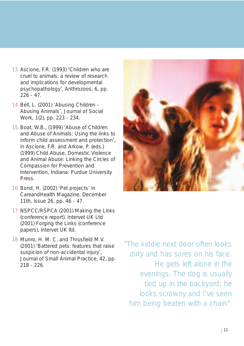- 13 Ascione, F.R. (1993) 'Children who are cruel to animals: a review of research and implications for developmental psychopathology', Anthrozoos, 6, pp. 226 - 47.
- 14 Bell, L. (2001) 'Abusing Children Abusing Animals', Journal of Social Work, 1(2), pp. 223 - 234.
- 15 Boat, W.B., (1999) 'Abuse of Children and Abuse of Animals: Using the links to inform child assessment and protection', in Ascione, F.R. and Arkow, P. (eds.) (1999) Child Abuse, Domestic Violence and Animal Abuse: Linking the Circles of Compassion for Prevention and Intervention, Indiana: Purdue University Press.
- 16 Bond, H. (2002) 'Pet projects' in CareandHealth Magazine, December 11th, Issue 26, pp. 46 - 47.
- 17 NSPCC/RSPCA (2001) Making the Links (conference report). Intervet UK Ltd (2001) Forging the Links (conference papers), Intervet UK ltd.
- 18 Munro, H. M. C. and Thrusfield M.V. (2001) 'Battered pets: features that raise suspicion of non-accidental injury'. Journal of Small Animal Practice, 42, pp. 218 - 226.



"The kiddie next door often looks dirty and has sores on his face. He gets left alone in the evenings. The dog is usually tied up in the backyard; he looks scrawny and I've seen him being beaten with a chain".